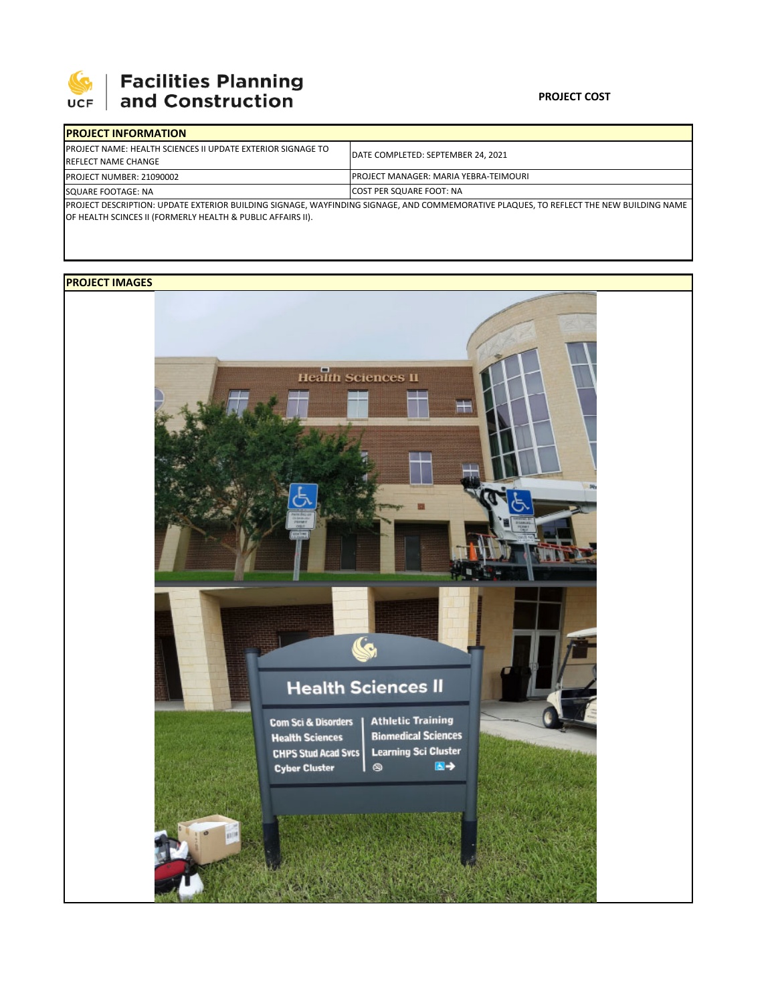

## **SEPTE AND Facilities Planning**<br>UCF and Construction

### **PROJECT COST**

| <b>IPROJECT INFORMATION</b>                                                                                                                                                                           |                                               |  |  |
|-------------------------------------------------------------------------------------------------------------------------------------------------------------------------------------------------------|-----------------------------------------------|--|--|
| <b>IPROJECT NAME: HEALTH SCIENCES II UPDATE EXTERIOR SIGNAGE TO</b><br><b>REFLECT NAME CHANGE</b>                                                                                                     | DATE COMPLETED: SEPTEMBER 24, 2021            |  |  |
| PROJECT NUMBER: 21090002                                                                                                                                                                              | <b>IPROJECT MANAGER: MARIA YEBRA-TEIMOURI</b> |  |  |
| SQUARE FOOTAGE: NA                                                                                                                                                                                    | COST PER SQUARE FOOT: NA                      |  |  |
| PROJECT DESCRIPTION: UPDATE EXTERIOR BUILDING SIGNAGE, WAYFINDING SIGNAGE, AND COMMEMORATIVE PLAQUES, TO REFLECT THE NEW BUILDING NAME<br>OF HEALTH SCINCES II (FORMERLY HEALTH & PUBLIC AFFAIRS II). |                                               |  |  |

## **PROJECT IMAGES**